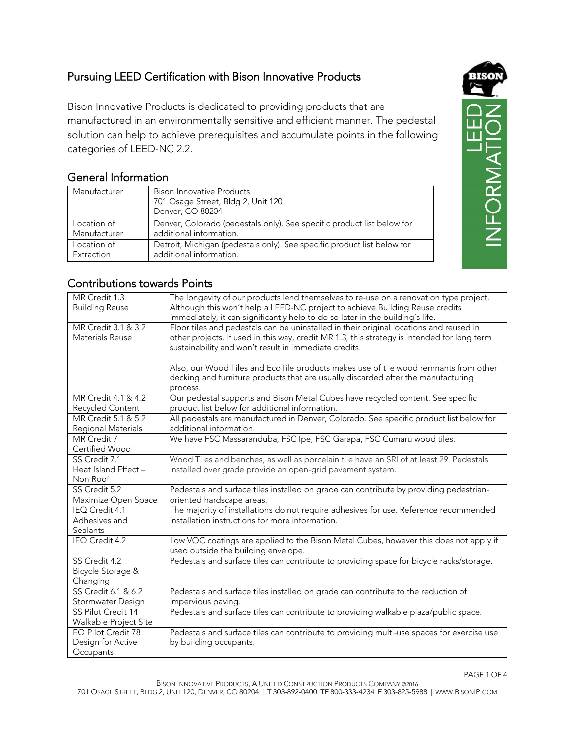## Pursuing LEED Certification with Bison Innovative Products

Bison Innovative Products is dedicated to providing products that are manufactured in an environmentally sensitive and efficient manner. The pedestal solution can help to achieve prerequisites and accumulate points in the following categories of LEED-NC 2.2.

## General Information

| Manufacturer | Bison Innovative Products<br>701 Osage Street, Bldg 2, Unit 120<br>Denver, CO 80204 |
|--------------|-------------------------------------------------------------------------------------|
| Location of  | Denver, Colorado (pedestals only). See specific product list below for              |
| Manufacturer | additional information.                                                             |
| Location of  | Detroit, Michigan (pedestals only). See specific product list below for             |
| Extraction   | additional information.                                                             |



## Contributions towards Points

| MR Credit 1.3         | The longevity of our products lend themselves to re-use on a renovation type project.       |
|-----------------------|---------------------------------------------------------------------------------------------|
| <b>Building Reuse</b> | Although this won't help a LEED-NC project to achieve Building Reuse credits                |
|                       | immediately, it can significantly help to do so later in the building's life.               |
|                       |                                                                                             |
| MR Credit 3.1 & 3.2   | Floor tiles and pedestals can be uninstalled in their original locations and reused in      |
| Materials Reuse       | other projects. If used in this way, credit MR 1.3, this strategy is intended for long term |
|                       | sustainability and won't result in immediate credits.                                       |
|                       |                                                                                             |
|                       | Also, our Wood Tiles and EcoTile products makes use of tile wood remnants from other        |
|                       | decking and furniture products that are usually discarded after the manufacturing           |
|                       |                                                                                             |
|                       | process.                                                                                    |
| MR Credit 4.1 & 4.2   | Our pedestal supports and Bison Metal Cubes have recycled content. See specific             |
| Recycled Content      | product list below for additional information.                                              |
| MR Credit 5.1 & 5.2   | All pedestals are manufactured in Denver, Colorado. See specific product list below for     |
| Regional Materials    | additional information.                                                                     |
| MR Credit 7           | We have FSC Massaranduba, FSC Ipe, FSC Garapa, FSC Cumaru wood tiles.                       |
| Certified Wood        |                                                                                             |
| SS Credit 7.1         | Wood Tiles and benches, as well as porcelain tile have an SRI of at least 29. Pedestals     |
| Heat Island Effect -  | installed over grade provide an open-grid pavement system.                                  |
| Non Roof              |                                                                                             |
| SS Credit 5.2         |                                                                                             |
|                       | Pedestals and surface tiles installed on grade can contribute by providing pedestrian-      |
| Maximize Open Space   | oriented hardscape areas.                                                                   |
| IEQ Credit 4.1        | The majority of installations do not require adhesives for use. Reference recommended       |
| Adhesives and         | installation instructions for more information.                                             |
| <b>Sealants</b>       |                                                                                             |
| IEQ Credit 4.2        | Low VOC coatings are applied to the Bison Metal Cubes, however this does not apply if       |
|                       | used outside the building envelope.                                                         |
| SS Credit 4.2         | Pedestals and surface tiles can contribute to providing space for bicycle racks/storage.    |
| Bicycle Storage &     |                                                                                             |
| Changing              |                                                                                             |
| SS Credit 6.1 & 6.2   | Pedestals and surface tiles installed on grade can contribute to the reduction of           |
| Stormwater Design     | impervious paving.                                                                          |
| SS Pilot Credit 14    | Pedestals and surface tiles can contribute to providing walkable plaza/public space.        |
| Walkable Project Site |                                                                                             |
| EQ Pilot Credit 78    | Pedestals and surface tiles can contribute to providing multi-use spaces for exercise use   |
| Design for Active     | by building occupants.                                                                      |
|                       |                                                                                             |
| Occupants             |                                                                                             |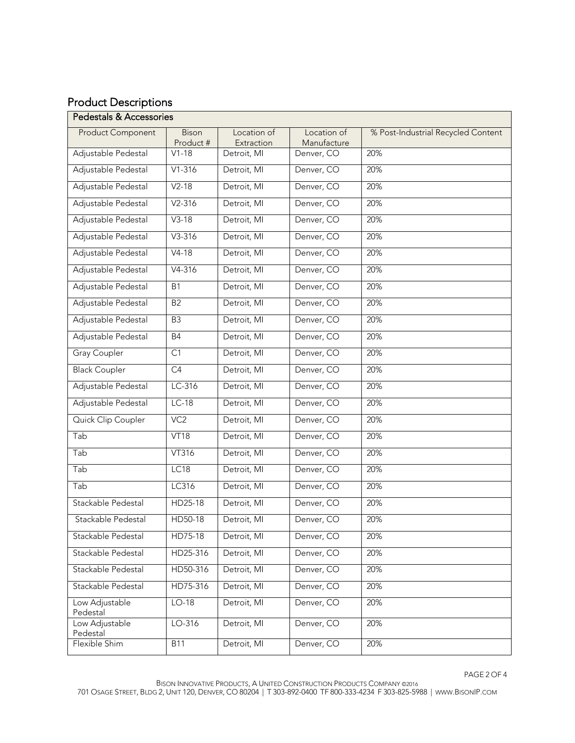## Product Descriptions

| <b>Pedestals &amp; Accessories</b> |                    |                           |                            |                                    |  |  |
|------------------------------------|--------------------|---------------------------|----------------------------|------------------------------------|--|--|
| <b>Product Component</b>           | Bison<br>Product # | Location of<br>Extraction | Location of<br>Manufacture | % Post-Industrial Recycled Content |  |  |
| Adjustable Pedestal                | $V1-18$            | Detroit, MI               | Denver, CO                 | 20%                                |  |  |
| Adjustable Pedestal                | $V1 - 316$         | Detroit, MI               | Denver, CO                 | 20%                                |  |  |
| Adjustable Pedestal                | $V2-18$            | Detroit, MI               | Denver, CO                 | 20%                                |  |  |
| Adjustable Pedestal                | $V2 - 316$         | Detroit, MI               | Denver, CO                 | 20%                                |  |  |
| Adjustable Pedestal                | $V3-18$            | Detroit, MI               | Denver, CO                 | 20%                                |  |  |
| Adjustable Pedestal                | $V3 - 316$         | Detroit, MI               | Denver, CO                 | 20%                                |  |  |
| Adjustable Pedestal                | $V4-18$            | Detroit, MI               | Denver, CO                 | 20%                                |  |  |
| Adjustable Pedestal                | $V4 - 316$         | Detroit, MI               | Denver, CO                 | 20%                                |  |  |
| Adjustable Pedestal                | <b>B1</b>          | Detroit, MI               | Denver, CO                 | 20%                                |  |  |
| Adjustable Pedestal                | B <sub>2</sub>     | Detroit, MI               | Denver, CO                 | 20%                                |  |  |
| Adjustable Pedestal                | B <sub>3</sub>     | Detroit, MI               | Denver, CO                 | 20%                                |  |  |
| Adjustable Pedestal                | <b>B4</b>          | Detroit, MI               | Denver, CO                 | 20%                                |  |  |
| <b>Gray Coupler</b>                | C1                 | Detroit, MI               | Denver, CO                 | 20%                                |  |  |
| <b>Black Coupler</b>               | $\overline{C4}$    | Detroit, MI               | Denver, CO                 | 20%                                |  |  |
| Adjustable Pedestal                | $LC-316$           | Detroit, MI               | Denver, CO                 | 20%                                |  |  |
| Adjustable Pedestal                | $LC-18$            | Detroit, MI               | Denver, CO                 | 20%                                |  |  |
| Quick Clip Coupler                 | VC2                | Detroit, MI               | Denver, CO                 | 20%                                |  |  |
| Tab                                | VT18               | Detroit, MI               | Denver, CO                 | 20%                                |  |  |
| Tab                                | VT316              | Detroit, MI               | Denver, CO                 | 20%                                |  |  |
| Tab                                | LC18               | Detroit, MI               | Denver, CO                 | 20%                                |  |  |
| Tab                                | LC316              | Detroit, MI               | Denver, CO                 | 20%                                |  |  |
| Stackable Pedestal                 | HD25-18            | Detroit, MI               | Denver, CO                 | 20%                                |  |  |
| Stackable Pedestal                 | HD50-18            | Detroit, MI               | Denver, CO                 | 20%                                |  |  |
| Stackable Pedestal                 | HD75-18            | Detroit, MI               | Denver, CO                 | 20%                                |  |  |
| Stackable Pedestal                 | HD25-316           | Detroit, MI               | Denver, CO                 | 20%                                |  |  |
| Stackable Pedestal                 | HD50-316           | Detroit, MI               | Denver, CO                 | 20%                                |  |  |
| Stackable Pedestal                 | HD75-316           | Detroit, MI               | Denver, CO                 | 20%                                |  |  |
| Low Adjustable<br>Pedestal         | $LO-18$            | Detroit, MI               | Denver, CO                 | 20%                                |  |  |
| Low Adjustable<br>Pedestal         | LO-316             | Detroit, MI               | Denver, CO                 | 20%                                |  |  |
| Flexible Shim                      | <b>B11</b>         | Detroit, MI               | Denver, CO                 | 20%                                |  |  |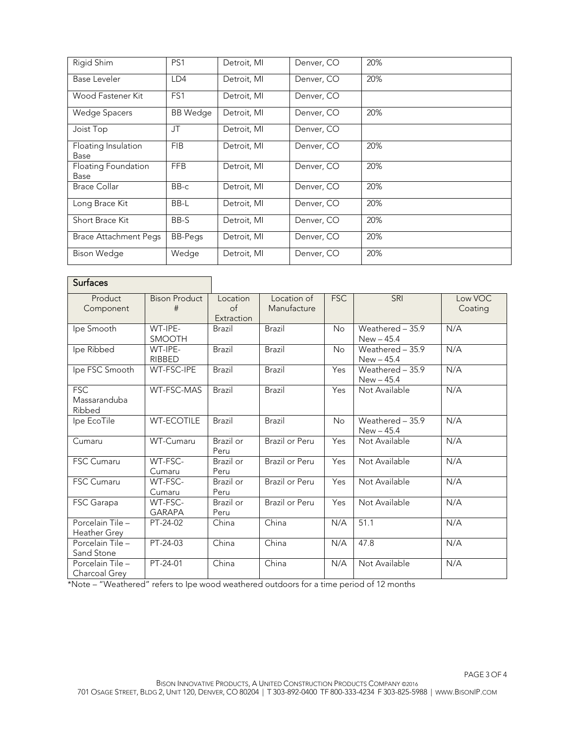| Rigid Shim                   | PS1             | Detroit, MI | Denver, CO | 20% |
|------------------------------|-----------------|-------------|------------|-----|
| Base Leveler                 | LD4             | Detroit, MI | Denver, CO | 20% |
| Wood Fastener Kit            | FS1             | Detroit, MI | Denver, CO |     |
| Wedge Spacers                | <b>BB</b> Wedge | Detroit, MI | Denver, CO | 20% |
| Joist Top                    | JT              | Detroit, MI | Denver, CO |     |
| Floating Insulation<br>Base  | <b>FIB</b>      | Detroit, MI | Denver, CO | 20% |
| Floating Foundation<br>Base  | <b>FFB</b>      | Detroit, MI | Denver, CO | 20% |
| <b>Brace Collar</b>          | BB-c            | Detroit, MI | Denver, CO | 20% |
| Long Brace Kit               | BB-L            | Detroit, MI | Denver, CO | 20% |
| Short Brace Kit              | BB-S            | Detroit, MI | Denver, CO | 20% |
| <b>Brace Attachment Pegs</b> | <b>BB-Pegs</b>  | Detroit, MI | Denver, CO | 20% |
| <b>Bison Wedge</b>           | Wedge           | Detroit, MI | Denver, CO | 20% |

| <b>Surfaces</b>                      |                           |                                     |                            |            |                                   |                    |
|--------------------------------------|---------------------------|-------------------------------------|----------------------------|------------|-----------------------------------|--------------------|
| Product<br>Component                 | <b>Bison Product</b><br># | Location<br>$\circ$ f<br>Extraction | Location of<br>Manufacture | <b>FSC</b> | <b>SRI</b>                        | Low VOC<br>Coating |
| Ipe Smooth                           | WT-IPE-<br><b>SMOOTH</b>  | Brazil                              | Brazil                     | <b>No</b>  | Weathered $-35.9$<br>$New - 45.4$ | N/A                |
| Ipe Ribbed                           | WT-IPE-<br>RIBBED         | Brazil                              | Brazil                     | <b>No</b>  | Weathered - 35.9<br>$New - 45.4$  | N/A                |
| Ipe FSC Smooth                       | WT-FSC-IPE                | Brazil                              | <b>Brazil</b>              | Yes        | Weathered - 35.9<br>$New - 45.4$  | N/A                |
| <b>FSC</b><br>Massaranduba<br>Ribbed | WT-FSC-MAS                | Brazil                              | <b>Brazil</b>              | Yes        | Not Available                     | N/A                |
| Ipe EcoTile                          | <b>WT-ECOTILE</b>         | <b>Brazil</b>                       | Brazil                     | No         | Weathered - 35.9<br>$New - 45.4$  | N/A                |
| Cumaru                               | WT-Cumaru                 | Brazil or<br>Peru                   | Brazil or Peru             | Yes        | Not Available                     | N/A                |
| <b>FSC Cumaru</b>                    | WT-FSC-<br>Cumaru         | Brazil or<br>Peru                   | Brazil or Peru             | Yes        | Not Available                     | N/A                |
| <b>FSC Cumaru</b>                    | WT-FSC-<br>Cumaru         | Brazil or<br>Peru                   | <b>Brazil or Peru</b>      | Yes        | Not Available                     | N/A                |
| FSC Garapa                           | WT-FSC-<br><b>GARAPA</b>  | Brazil or<br>Peru                   | Brazil or Peru             | Yes        | Not Available                     | N/A                |
| Porcelain Tile -<br>Heather Grey     | PT-24-02                  | China                               | China                      | N/A        | 51.1                              | N/A                |
| Porcelain Tile -<br>Sand Stone       | PT-24-03                  | China                               | China                      | N/A        | 47.8                              | N/A                |
| Porcelain Tile -<br>Charcoal Grey    | PT-24-01                  | China                               | China                      | N/A        | Not Available                     | N/A                |

\*Note – "Weathered" refers to Ipe wood weathered outdoors for a time period of 12 months